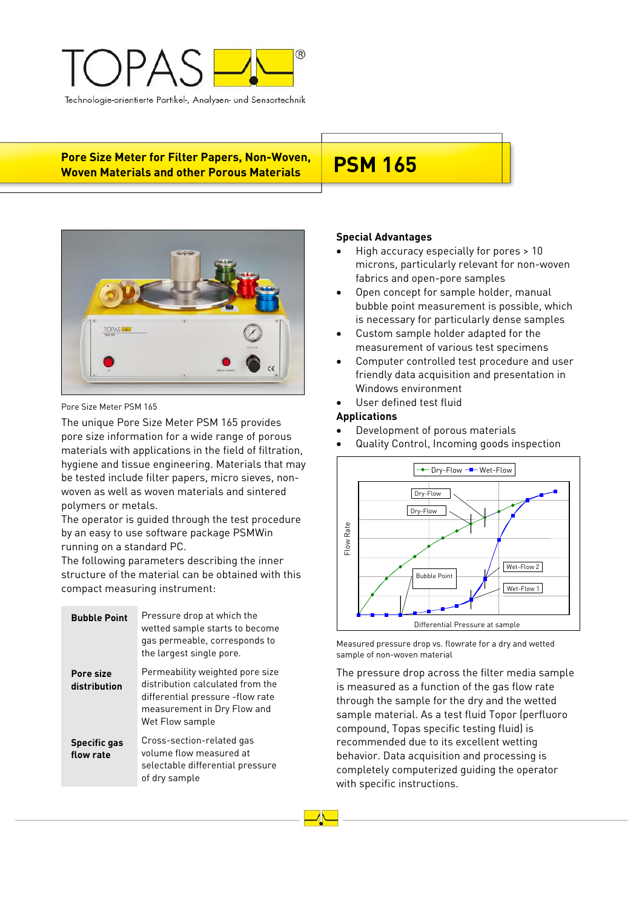

**Pore Size Meter for Filter Papers, Non-Woven,**  Pore Size Meter for Filter Papers, Non-Woven, P**SM 165**<br>Woven Materials and other Porous Materials



## Pore Size Meter PSM 165

The unique Pore Size Meter PSM 165 provides pore size information for a wide range of porous materials with applications in the field of filtration, hygiene and tissue engineering. Materials that may be tested include filter papers, micro sieves, nonwoven as well as woven materials and sintered polymers or metals.

The operator is guided through the test procedure by an easy to use software package PSMWin running on a standard PC.

The following parameters describing the inner structure of the material can be obtained with this compact measuring instrument:

| <b>Bubble Point</b>              | Pressure drop at which the<br>wetted sample starts to become<br>gas permeable, corresponds to<br>the largest single pore.                                 |
|----------------------------------|-----------------------------------------------------------------------------------------------------------------------------------------------------------|
| Pore size<br>distribution        | Permeability weighted pore size<br>distribution calculated from the<br>differential pressure -flow rate<br>measurement in Dry Flow and<br>Wet Flow sample |
| <b>Specific gas</b><br>flow rate | Cross-section-related gas<br>volume flow measured at<br>selectable differential pressure<br>of dry sample                                                 |

# **Special Advantages**

- High accuracy especially for pores > 10 microns, particularly relevant for non-woven fabrics and open-pore samples
- Open concept for sample holder, manual bubble point measurement is possible, which is necessary for particularly dense samples
- Custom sample holder adapted for the measurement of various test specimens
- Computer controlled test procedure and user friendly data acquisition and presentation in Windows environment
- User defined test fluid

# **Applications**

- Development of porous materials
- Quality Control, Incoming goods inspection



Measured pressure drop vs. flowrate for a dry and wetted sample of non-woven material

The pressure drop across the filter media sample is measured as a function of the gas flow rate through the sample for the dry and the wetted sample material. As a test fluid Topor (perfluoro compound, Topas specific testing fluid) is recommended due to its excellent wetting behavior. Data acquisition and processing is completely computerized guiding the operator with specific instructions.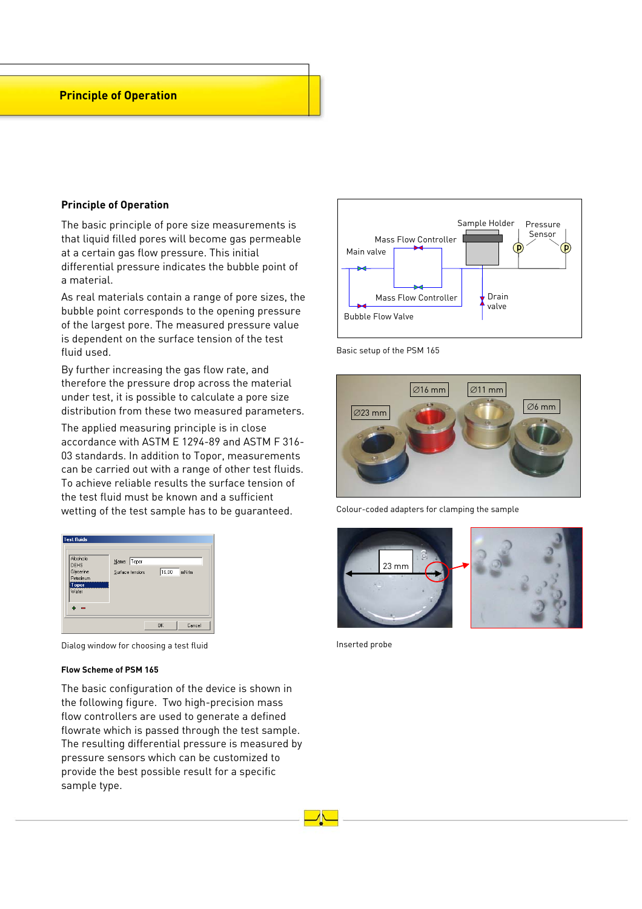# **Principle of Operation**

## **Principle of Operation**

The basic principle of pore size measurements is that liquid filled pores will become gas permeable at a certain gas flow pressure. This initial differential pressure indicates the bubble point of a material.

As real materials contain a range of pore sizes, the bubble point corresponds to the opening pressure of the largest pore. The measured pressure value is dependent on the surface tension of the test fluid used.

By further increasing the gas flow rate, and therefore the pressure drop across the material under test, it is possible to calculate a pore size distribution from these two measured parameters.

The applied measuring principle is in close accordance with ASTM E 1294-89 and ASTM F 316- 03 standards. In addition to Topor, measurements can be carried out with a range of other test fluids. To achieve reliable results the surface tension of the test fluid must be known and a sufficient wetting of the test sample has to be guaranteed.

| <b>Test fluids</b><br>Alcohole<br><b>DEHS</b><br>Glycerine<br>Petroleum<br><b>Topor</b><br>Water | Name: Topor<br>Surface tension: | 16,00     | mN/m   |
|--------------------------------------------------------------------------------------------------|---------------------------------|-----------|--------|
|                                                                                                  |                                 | <b>OK</b> | Cancel |

Dialog window for choosing a test fluid

### **Flow Scheme of PSM 165**

The basic configuration of the device is shown in the following figure. Two high-precision mass flow controllers are used to generate a defined flowrate which is passed through the test sample. The resulting differential pressure is measured by pressure sensors which can be customized to provide the best possible result for a specific sample type.



Basic setup of the PSM 165



Colour-coded adapters for clamping the sample



Inserted probe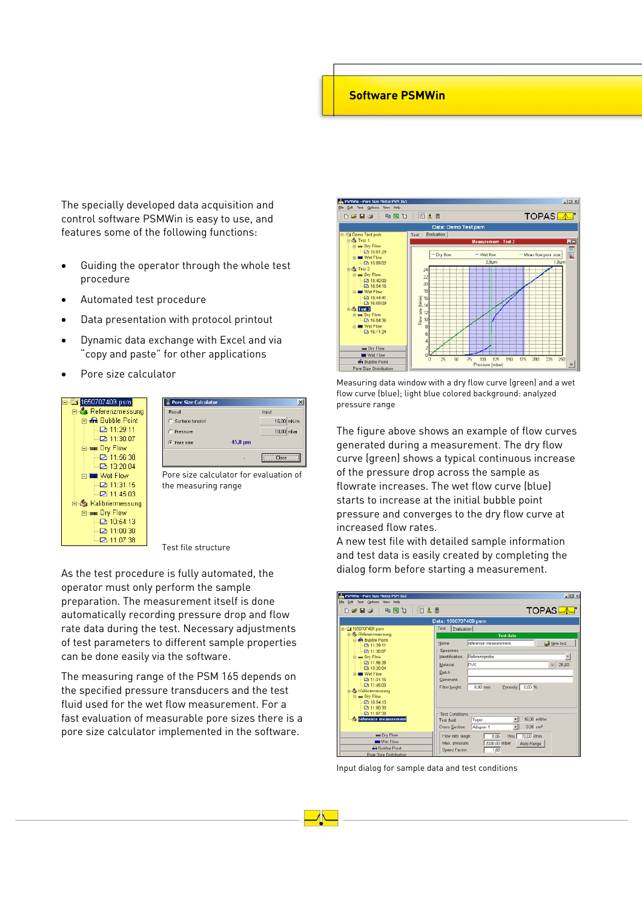# **Software PSMWin**

The specially developed data acquisition and control software PSMWin is easy to use, and features some of the following functions:

- Guiding the operator through the whole test procedure
- Automated test procedure
- Data presentation with protocol printout
- Dynamic data exchange with Excel and via "copy and paste" for other applications
- Pore size calculator



| Result             |              | Input        |
|--------------------|--------------|--------------|
| C Surface tension  |              | 16.00 mN/m   |
| C Pressure         |              | $10.00$ mbar |
| <b>C</b> Pore size | $45.8 \mu m$ |              |
|                    |              | <b>Book</b>  |

Pore size calculator for evaluation of the measuring range

Test file structure

As the test procedure is fully automated, the operator must only perform the sample preparation. The measurement itself is done automatically recording pressure drop and flow rate data during the test. Necessary adjustments of test parameters to different sample properties can be done easily via the software.

The measuring range of the PSM 165 depends on the specified pressure transducers and the test fluid used for the wet flow measurement. For a fast evaluation of measurable pore sizes there is a pore size calculator implemented in the software.



Measuring data window with a dry flow curve (green) and a wet flow curve (blue); light blue colored background: analyzed pressure range

The figure above shows an example of flow curves generated during a measurement. The dry flow curve (green) shows a typical continuous increase of the pressure drop across the sample as flowrate increases. The wet flow curve (blue) starts to increase at the initial bubble point pressure and converges to the dry flow curve at increased flow rates.

A new test file with detailed sample information and test data is easily created by completing the dialog form before starting a measurement.

| Elle Edit Test Options View Help                                                                                                                                                                                                                             |                                                                                           | $-10x$                                                                                                         |
|--------------------------------------------------------------------------------------------------------------------------------------------------------------------------------------------------------------------------------------------------------------|-------------------------------------------------------------------------------------------|----------------------------------------------------------------------------------------------------------------|
| 同志目<br>临国面<br>n e u s                                                                                                                                                                                                                                        |                                                                                           | <b>TOPAS</b>                                                                                                   |
|                                                                                                                                                                                                                                                              | Data: 1650707409.psm                                                                      |                                                                                                                |
| B 3 1650707409.psm<br>Referenzmessung                                                                                                                                                                                                                        | Test<br>Evaluation                                                                        | <b>Test data</b>                                                                                               |
| Rubble Point<br><b>Da 11:29:11</b><br><b>P3 11:30:07</b><br><b>El sus Dry Flow</b><br><b>D</b> 11:56:38<br><b>D</b> 13:20:04<br><b>C-MM Wet Flow</b><br>2 11:31:15<br><b>四 11:45:03</b><br>& Kalibriermessung<br>El sus Dry Flow<br>2 10:54:13<br>2 11:00:30 | Name:<br>Specimen<br>Identification:<br>Material:<br>Batch:<br>Comment:<br>Filter height: | reference measurement<br>New test<br>Referenzprobe<br><b>PVC</b><br>$k$ 28,60<br>Porosity: 0.00 %<br>$0.00$ mm |
| □ 11:07:38<br><b>Co</b> reference measurement                                                                                                                                                                                                                | Test Conditions<br>Test fluid:<br>Cross Section:                                          | 16,00 mN/m<br>Topor<br>۳<br>$0.95$ cm <sup>2</sup><br>Adapter 1<br>۳                                           |
| <b>MHE Dry Flow</b><br><b>Wet Flow</b><br><b>G</b> Bubble Point<br>Pore Size Distribution                                                                                                                                                                    | Flow rate range:<br>Max. pressure:<br>Speed Factor:                                       | 70,00 Vmin<br>0.06<br>thru  <br>2000,00 mbar<br>Auto Range<br>1,00                                             |

Input dialog for sample data and test conditions